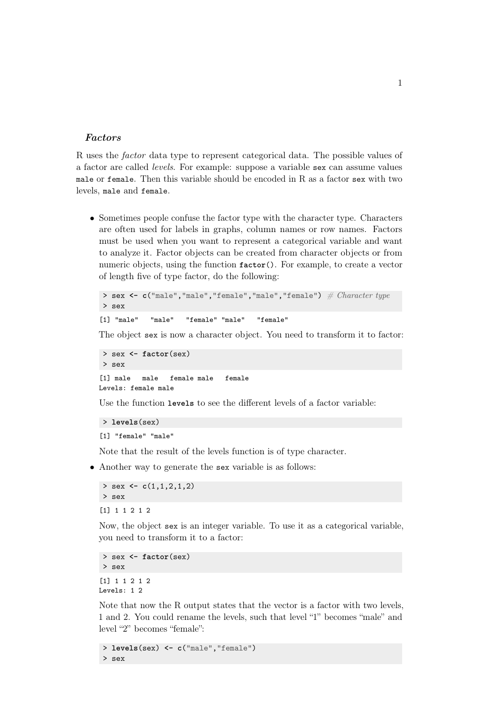## Factors

R uses the factor data type to represent categorical data. The possible values of a factor are called levels. For example: suppose a variable sex can assume values male or female. Then this variable should be encoded in R as a factor sex with two levels, male and female.

• Sometimes people confuse the factor type with the character type. Characters are often used for labels in graphs, column names or row names. Factors must be used when you want to represent a categorical variable and want to analyze it. Factor objects can be created from character objects or from numeric objects, using the function **factor**(). For example, to create a vector of length five of type factor, do the following:

```
> sex <- c("male","male","female","male","female") \# Character type
> sex
```

```
[1] "male" "male" "female" "male" "female"
```
The object sex is now a character object. You need to transform it to factor:

```
> sex <- factor(sex)
> sex
[1] male male female male female
Levels: female male
```
Use the function **levels** to see the different levels of a factor variable:

```
> levels(sex)
[1] "female" "male"
```
Note that the result of the levels function is of type character.

• Another way to generate the sex variable is as follows:

```
> sex <- c(1,1,2,1,2)
> sex
[1] 1 1 2 1 2
```
Now, the object sex is an integer variable. To use it as a categorical variable, you need to transform it to a factor:

```
> sex <- factor(sex)
> sex
[1] 1 1 2 1 2
Levels: 1 2
```
Note that now the R output states that the vector is a factor with two levels, 1 and 2. You could rename the levels, such that level "1" becomes "male" and level "2" becomes "female":

> **levels**(sex) **<- c**("male","female") > sex